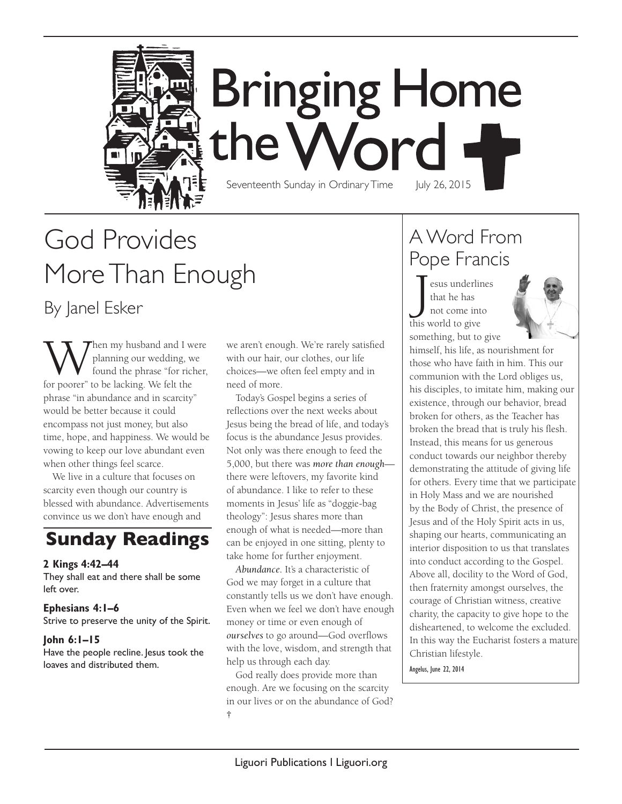

# **Bringing Home** the Word Seventeenth Sunday in Ordinary Time July 26, 2015

# God Provides More Than Enough By Janel Esker

When my husband and I were<br>found the phrase "for richer,<br>for poorer" to be lacking We felt the planning our wedding, we found the phrase "for richer, for poorer" to be lacking. We felt the phrase "in abundance and in scarcity" would be better because it could encompass not just money, but also time, hope, and happiness. We would be vowing to keep our love abundant even when other things feel scarce.

We live in a culture that focuses on scarcity even though our country is blessed with abundance. Advertisements convince us we don't have enough and

# **Sunday Readings**

#### **2 Kings 4:42–44**

They shall eat and there shall be some left over.

#### **Ephesians 4:1–6**

Strive to preserve the unity of the Spirit.

#### **John 6:1–15**

Have the people recline. Jesus took the loaves and distributed them.

we aren't enough. We're rarely satisfied with our hair, our clothes, our life choices—we often feel empty and in need of more.

Today's Gospel begins a series of reflections over the next weeks about Jesus being the bread of life, and today's focus is the abundance Jesus provides. Not only was there enough to feed the 5,000, but there was *more than enough* there were leftovers, my favorite kind of abundance. I like to refer to these moments in Jesus' life as "doggie-bag theology": Jesus shares more than enough of what is needed—more than can be enjoyed in one sitting, plenty to take home for further enjoyment.

*Abundance.* It's a characteristic of God we may forget in a culture that constantly tells us we don't have enough. Even when we feel we don't have enough money or time or even enough of *ourselves* to go around—God overflows with the love, wisdom, and strength that help us through each day.

God really does provide more than enough. Are we focusing on the scarcity in our lives or on the abundance of God? **†**

## A Word From Pope Francis

J esus underlines that he has not come into this world to give something, but to give



himself, his life, as nourishment for those who have faith in him. This our communion with the Lord obliges us, his disciples, to imitate him, making our existence, through our behavior, bread broken for others, as the Teacher has broken the bread that is truly his flesh. Instead, this means for us generous conduct towards our neighbor thereby demonstrating the attitude of giving life for others. Every time that we participate in Holy Mass and we are nourished by the Body of Christ, the presence of Jesus and of the Holy Spirit acts in us, shaping our hearts, communicating an interior disposition to us that translates into conduct according to the Gospel. Above all, docility to the Word of God, then fraternity amongst ourselves, the courage of Christian witness, creative charity, the capacity to give hope to the disheartened, to welcome the excluded. In this way the Eucharist fosters a mature Christian lifestyle.

Angelus, June 22, 2014